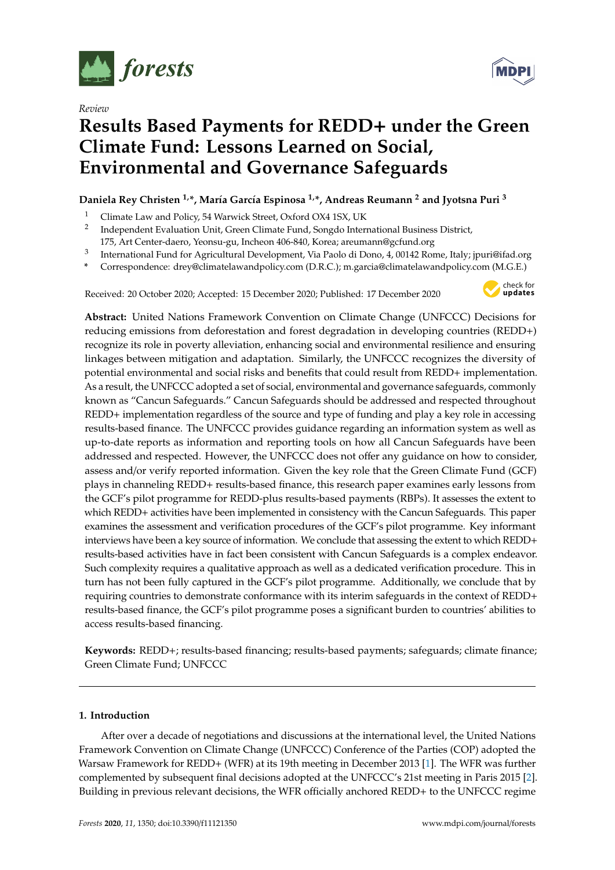

*Review*



# **Results Based Payments for REDD**+ **under the Green Climate Fund: Lessons Learned on Social, Environmental and Governance Safeguards**

# **Daniela Rey Christen 1,\*, María García Espinosa 1,\*, Andreas Reumann <sup>2</sup> and Jyotsna Puri <sup>3</sup>**

- <sup>1</sup> Climate Law and Policy, 54 Warwick Street, Oxford OX4 1SX, UK
- 2 Independent Evaluation Unit, Green Climate Fund, Songdo International Business District,
- 175, Art Center-daero, Yeonsu-gu, Incheon 406-840, Korea; areumann@gcfund.org
- 3 International Fund for Agricultural Development, Via Paolo di Dono, 4, 00142 Rome, Italy; jpuri@ifad.org
- **\*** Correspondence: drey@climatelawandpolicy.com (D.R.C.); m.garcia@climatelawandpolicy.com (M.G.E.)

Received: 20 October 2020; Accepted: 15 December 2020; Published: 17 December 2020



**Abstract:** United Nations Framework Convention on Climate Change (UNFCCC) Decisions for reducing emissions from deforestation and forest degradation in developing countries (REDD+) recognize its role in poverty alleviation, enhancing social and environmental resilience and ensuring linkages between mitigation and adaptation. Similarly, the UNFCCC recognizes the diversity of potential environmental and social risks and benefits that could result from REDD+ implementation. As a result, the UNFCCC adopted a set of social, environmental and governance safeguards, commonly known as "Cancun Safeguards." Cancun Safeguards should be addressed and respected throughout REDD+ implementation regardless of the source and type of funding and play a key role in accessing results-based finance. The UNFCCC provides guidance regarding an information system as well as up-to-date reports as information and reporting tools on how all Cancun Safeguards have been addressed and respected. However, the UNFCCC does not offer any guidance on how to consider, assess and/or verify reported information. Given the key role that the Green Climate Fund (GCF) plays in channeling REDD+ results-based finance, this research paper examines early lessons from the GCF's pilot programme for REDD-plus results-based payments (RBPs). It assesses the extent to which REDD+ activities have been implemented in consistency with the Cancun Safeguards. This paper examines the assessment and verification procedures of the GCF's pilot programme. Key informant interviews have been a key source of information. We conclude that assessing the extent to which REDD+ results-based activities have in fact been consistent with Cancun Safeguards is a complex endeavor. Such complexity requires a qualitative approach as well as a dedicated verification procedure. This in turn has not been fully captured in the GCF's pilot programme. Additionally, we conclude that by requiring countries to demonstrate conformance with its interim safeguards in the context of REDD+ results-based finance, the GCF's pilot programme poses a significant burden to countries' abilities to access results-based financing.

**Keywords:** REDD+; results-based financing; results-based payments; safeguards; climate finance; Green Climate Fund; UNFCCC

## **1. Introduction**

After over a decade of negotiations and discussions at the international level, the United Nations Framework Convention on Climate Change (UNFCCC) Conference of the Parties (COP) adopted the Warsaw Framework for REDD+ (WFR) at its 19th meeting in December 2013 [\[1\]](#page-9-0). The WFR was further complemented by subsequent final decisions adopted at the UNFCCC's 21st meeting in Paris 2015 [\[2\]](#page-9-1). Building in previous relevant decisions, the WFR officially anchored REDD+ to the UNFCCC regime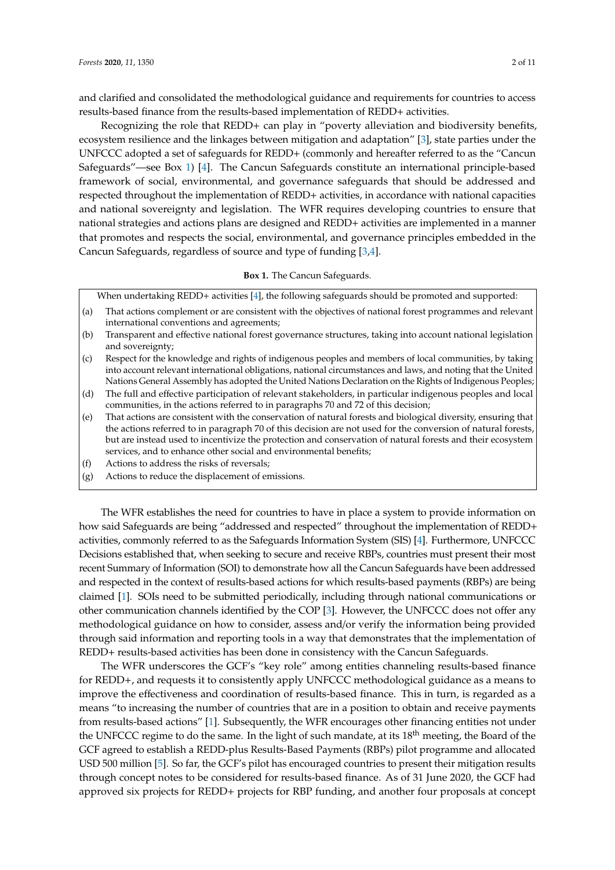and clarified and consolidated the methodological guidance and requirements for countries to access

Recognizing the role that REDD+ can play in "poverty alleviation and biodiversity benefits, ecosystem resilience and the linkages between mitigation and adaptation" [\[3\]](#page-9-2), state parties under the UNFCCC adopted a set of safeguards for REDD+ (commonly and hereafter referred to as the "Cancun Safeguards"—see Box [1\)](#page-1-0) [\[4\]](#page-9-3). The Cancun Safeguards constitute an international principle-based framework of social, environmental, and governance safeguards that should be addressed and respected throughout the implementation of REDD+ activities, in accordance with national capacities and national sovereignty and legislation. The WFR requires developing countries to ensure that national strategies and actions plans are designed and REDD+ activities are implemented in a manner that promotes and respects the social, environmental, and governance principles embedded in the Cancun Safeguards, regardless of source and type of funding [\[3,](#page-9-2)[4\]](#page-9-3).

results-based finance from the results-based implementation of REDD+ activities.

## **Box 1.** The Cancun Safeguards.

<span id="page-1-0"></span>When undertaking REDD+ activities [\[4\]](#page-9-3), the following safeguards should be promoted and supported:

- (a) That actions complement or are consistent with the objectives of national forest programmes and relevant international conventions and agreements;
- (b) Transparent and effective national forest governance structures, taking into account national legislation and sovereignty;
- (c) Respect for the knowledge and rights of indigenous peoples and members of local communities, by taking into account relevant international obligations, national circumstances and laws, and noting that the United Nations General Assembly has adopted the United Nations Declaration on the Rights of Indigenous Peoples;
- (d) The full and effective participation of relevant stakeholders, in particular indigenous peoples and local communities, in the actions referred to in paragraphs 70 and 72 of this decision;
- (e) That actions are consistent with the conservation of natural forests and biological diversity, ensuring that the actions referred to in paragraph 70 of this decision are not used for the conversion of natural forests, but are instead used to incentivize the protection and conservation of natural forests and their ecosystem services, and to enhance other social and environmental benefits;
- (f) Actions to address the risks of reversals;
- (g) Actions to reduce the displacement of emissions.

The WFR establishes the need for countries to have in place a system to provide information on how said Safeguards are being "addressed and respected" throughout the implementation of REDD+ activities, commonly referred to as the Safeguards Information System (SIS) [\[4\]](#page-9-3). Furthermore, UNFCCC Decisions established that, when seeking to secure and receive RBPs, countries must present their most recent Summary of Information (SOI) to demonstrate how all the Cancun Safeguards have been addressed and respected in the context of results-based actions for which results-based payments (RBPs) are being claimed [\[1\]](#page-9-0). SOIs need to be submitted periodically, including through national communications or other communication channels identified by the COP [\[3\]](#page-9-2). However, the UNFCCC does not offer any methodological guidance on how to consider, assess and/or verify the information being provided through said information and reporting tools in a way that demonstrates that the implementation of REDD+ results-based activities has been done in consistency with the Cancun Safeguards.

The WFR underscores the GCF's "key role" among entities channeling results-based finance for REDD+, and requests it to consistently apply UNFCCC methodological guidance as a means to improve the effectiveness and coordination of results-based finance. This in turn, is regarded as a means "to increasing the number of countries that are in a position to obtain and receive payments from results-based actions" [\[1\]](#page-9-0). Subsequently, the WFR encourages other financing entities not under the UNFCCC regime to do the same. In the light of such mandate, at its 18<sup>th</sup> meeting, the Board of the GCF agreed to establish a REDD-plus Results-Based Payments (RBPs) pilot programme and allocated USD 500 million [\[5\]](#page-9-4). So far, the GCF's pilot has encouraged countries to present their mitigation results through concept notes to be considered for results-based finance. As of 31 June 2020, the GCF had approved six projects for REDD+ projects for RBP funding, and another four proposals at concept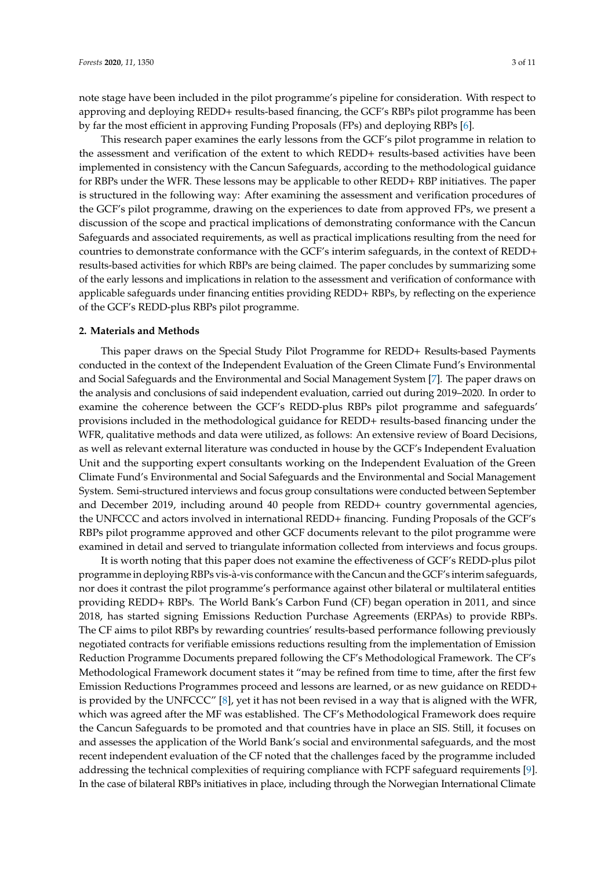note stage have been included in the pilot programme's pipeline for consideration. With respect to approving and deploying REDD+ results-based financing, the GCF's RBPs pilot programme has been by far the most efficient in approving Funding Proposals (FPs) and deploying RBPs [\[6\]](#page-9-5).

This research paper examines the early lessons from the GCF's pilot programme in relation to the assessment and verification of the extent to which REDD+ results-based activities have been implemented in consistency with the Cancun Safeguards, according to the methodological guidance for RBPs under the WFR. These lessons may be applicable to other REDD+ RBP initiatives. The paper is structured in the following way: After examining the assessment and verification procedures of the GCF's pilot programme, drawing on the experiences to date from approved FPs, we present a discussion of the scope and practical implications of demonstrating conformance with the Cancun Safeguards and associated requirements, as well as practical implications resulting from the need for countries to demonstrate conformance with the GCF's interim safeguards, in the context of REDD+ results-based activities for which RBPs are being claimed. The paper concludes by summarizing some of the early lessons and implications in relation to the assessment and verification of conformance with applicable safeguards under financing entities providing REDD+ RBPs, by reflecting on the experience of the GCF's REDD-plus RBPs pilot programme.

#### **2. Materials and Methods**

This paper draws on the Special Study Pilot Programme for REDD+ Results-based Payments conducted in the context of the Independent Evaluation of the Green Climate Fund's Environmental and Social Safeguards and the Environmental and Social Management System [\[7\]](#page-9-6). The paper draws on the analysis and conclusions of said independent evaluation, carried out during 2019–2020. In order to examine the coherence between the GCF's REDD-plus RBPs pilot programme and safeguards' provisions included in the methodological guidance for REDD+ results-based financing under the WFR, qualitative methods and data were utilized, as follows: An extensive review of Board Decisions, as well as relevant external literature was conducted in house by the GCF's Independent Evaluation Unit and the supporting expert consultants working on the Independent Evaluation of the Green Climate Fund's Environmental and Social Safeguards and the Environmental and Social Management System. Semi-structured interviews and focus group consultations were conducted between September and December 2019, including around 40 people from REDD+ country governmental agencies, the UNFCCC and actors involved in international REDD+ financing. Funding Proposals of the GCF's RBPs pilot programme approved and other GCF documents relevant to the pilot programme were examined in detail and served to triangulate information collected from interviews and focus groups.

It is worth noting that this paper does not examine the effectiveness of GCF's REDD-plus pilot programme in deploying RBPs vis-à-vis conformance with the Cancun and the GCF's interim safeguards, nor does it contrast the pilot programme's performance against other bilateral or multilateral entities providing REDD+ RBPs. The World Bank's Carbon Fund (CF) began operation in 2011, and since 2018, has started signing Emissions Reduction Purchase Agreements (ERPAs) to provide RBPs. The CF aims to pilot RBPs by rewarding countries' results-based performance following previously negotiated contracts for verifiable emissions reductions resulting from the implementation of Emission Reduction Programme Documents prepared following the CF's Methodological Framework. The CF's Methodological Framework document states it "may be refined from time to time, after the first few Emission Reductions Programmes proceed and lessons are learned, or as new guidance on REDD+ is provided by the UNFCCC" [\[8\]](#page-9-7), yet it has not been revised in a way that is aligned with the WFR, which was agreed after the MF was established. The CF's Methodological Framework does require the Cancun Safeguards to be promoted and that countries have in place an SIS. Still, it focuses on and assesses the application of the World Bank's social and environmental safeguards, and the most recent independent evaluation of the CF noted that the challenges faced by the programme included addressing the technical complexities of requiring compliance with FCPF safeguard requirements [\[9\]](#page-10-0). In the case of bilateral RBPs initiatives in place, including through the Norwegian International Climate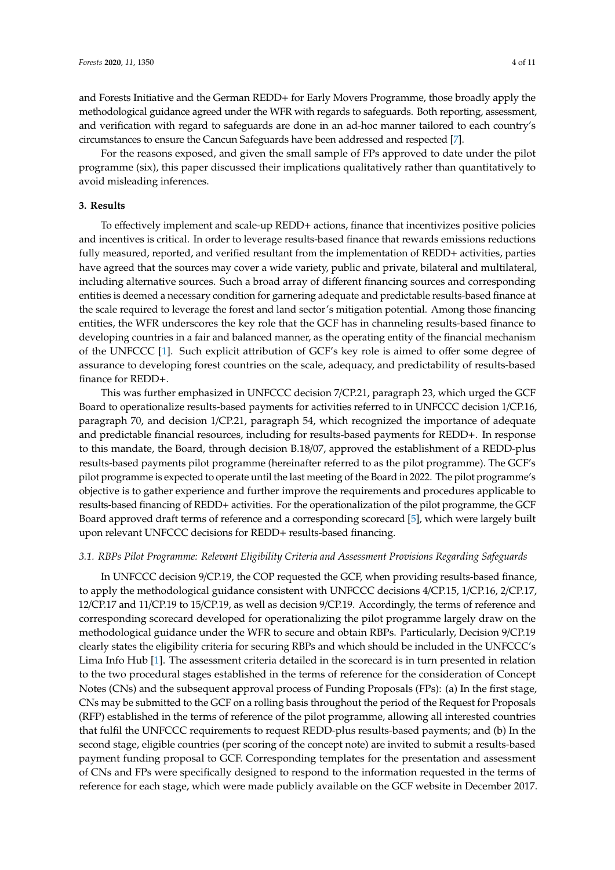and Forests Initiative and the German REDD+ for Early Movers Programme, those broadly apply the methodological guidance agreed under the WFR with regards to safeguards. Both reporting, assessment, and verification with regard to safeguards are done in an ad-hoc manner tailored to each country's circumstances to ensure the Cancun Safeguards have been addressed and respected [\[7\]](#page-9-6).

For the reasons exposed, and given the small sample of FPs approved to date under the pilot programme (six), this paper discussed their implications qualitatively rather than quantitatively to avoid misleading inferences.

#### <span id="page-3-0"></span>**3. Results**

To effectively implement and scale-up REDD+ actions, finance that incentivizes positive policies and incentives is critical. In order to leverage results-based finance that rewards emissions reductions fully measured, reported, and verified resultant from the implementation of REDD+ activities, parties have agreed that the sources may cover a wide variety, public and private, bilateral and multilateral, including alternative sources. Such a broad array of different financing sources and corresponding entities is deemed a necessary condition for garnering adequate and predictable results-based finance at the scale required to leverage the forest and land sector's mitigation potential. Among those financing entities, the WFR underscores the key role that the GCF has in channeling results-based finance to developing countries in a fair and balanced manner, as the operating entity of the financial mechanism of the UNFCCC [\[1\]](#page-9-0). Such explicit attribution of GCF's key role is aimed to offer some degree of assurance to developing forest countries on the scale, adequacy, and predictability of results-based finance for REDD+.

This was further emphasized in UNFCCC decision 7/CP.21, paragraph 23, which urged the GCF Board to operationalize results-based payments for activities referred to in UNFCCC decision 1/CP.16, paragraph 70, and decision 1/CP.21, paragraph 54, which recognized the importance of adequate and predictable financial resources, including for results-based payments for REDD+. In response to this mandate, the Board, through decision B.18/07, approved the establishment of a REDD-plus results-based payments pilot programme (hereinafter referred to as the pilot programme). The GCF's pilot programme is expected to operate until the last meeting of the Board in 2022. The pilot programme's objective is to gather experience and further improve the requirements and procedures applicable to results-based financing of REDD+ activities. For the operationalization of the pilot programme, the GCF Board approved draft terms of reference and a corresponding scorecard [\[5\]](#page-9-4), which were largely built upon relevant UNFCCC decisions for REDD+ results-based financing.

#### *3.1. RBPs Pilot Programme: Relevant Eligibility Criteria and Assessment Provisions Regarding Safeguards*

In UNFCCC decision 9/CP.19, the COP requested the GCF, when providing results-based finance, to apply the methodological guidance consistent with UNFCCC decisions 4/CP.15, 1/CP.16, 2/CP.17, 12/CP.17 and 11/CP.19 to 15/CP.19, as well as decision 9/CP.19. Accordingly, the terms of reference and corresponding scorecard developed for operationalizing the pilot programme largely draw on the methodological guidance under the WFR to secure and obtain RBPs. Particularly, Decision 9/CP.19 clearly states the eligibility criteria for securing RBPs and which should be included in the UNFCCC's Lima Info Hub [\[1\]](#page-9-0). The assessment criteria detailed in the scorecard is in turn presented in relation to the two procedural stages established in the terms of reference for the consideration of Concept Notes (CNs) and the subsequent approval process of Funding Proposals (FPs): (a) In the first stage, CNs may be submitted to the GCF on a rolling basis throughout the period of the Request for Proposals (RFP) established in the terms of reference of the pilot programme, allowing all interested countries that fulfil the UNFCCC requirements to request REDD-plus results-based payments; and (b) In the second stage, eligible countries (per scoring of the concept note) are invited to submit a results-based payment funding proposal to GCF. Corresponding templates for the presentation and assessment of CNs and FPs were specifically designed to respond to the information requested in the terms of reference for each stage, which were made publicly available on the GCF website in December 2017.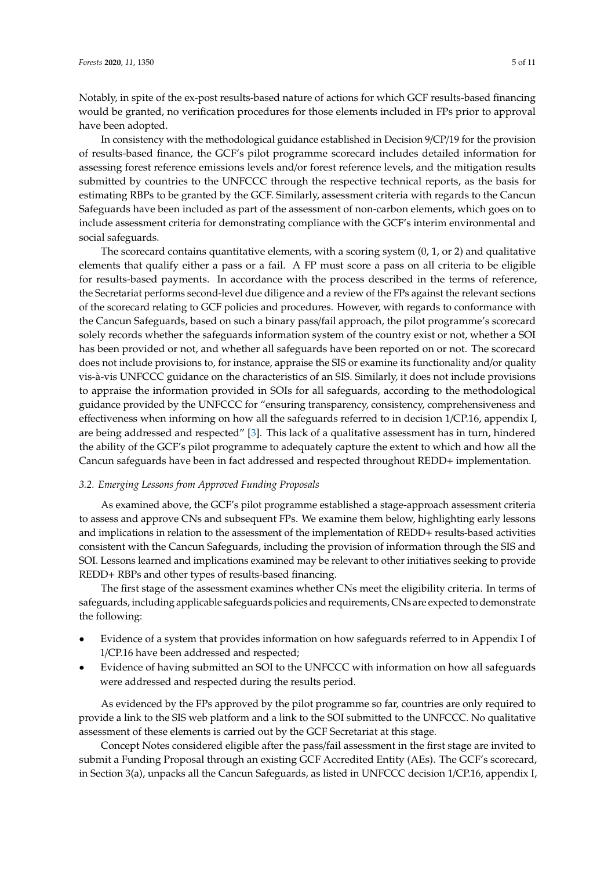Notably, in spite of the ex-post results-based nature of actions for which GCF results-based financing would be granted, no verification procedures for those elements included in FPs prior to approval have been adopted.

In consistency with the methodological guidance established in Decision 9/CP/19 for the provision of results-based finance, the GCF's pilot programme scorecard includes detailed information for assessing forest reference emissions levels and/or forest reference levels, and the mitigation results submitted by countries to the UNFCCC through the respective technical reports, as the basis for estimating RBPs to be granted by the GCF. Similarly, assessment criteria with regards to the Cancun Safeguards have been included as part of the assessment of non-carbon elements, which goes on to include assessment criteria for demonstrating compliance with the GCF's interim environmental and social safeguards.

The scorecard contains quantitative elements, with a scoring system (0, 1, or 2) and qualitative elements that qualify either a pass or a fail. A FP must score a pass on all criteria to be eligible for results-based payments. In accordance with the process described in the terms of reference, the Secretariat performs second-level due diligence and a review of the FPs against the relevant sections of the scorecard relating to GCF policies and procedures. However, with regards to conformance with the Cancun Safeguards, based on such a binary pass/fail approach, the pilot programme's scorecard solely records whether the safeguards information system of the country exist or not, whether a SOI has been provided or not, and whether all safeguards have been reported on or not. The scorecard does not include provisions to, for instance, appraise the SIS or examine its functionality and/or quality vis-à-vis UNFCCC guidance on the characteristics of an SIS. Similarly, it does not include provisions to appraise the information provided in SOIs for all safeguards, according to the methodological guidance provided by the UNFCCC for "ensuring transparency, consistency, comprehensiveness and effectiveness when informing on how all the safeguards referred to in decision 1/CP.16, appendix I, are being addressed and respected" [\[3\]](#page-9-2). This lack of a qualitative assessment has in turn, hindered the ability of the GCF's pilot programme to adequately capture the extent to which and how all the Cancun safeguards have been in fact addressed and respected throughout REDD+ implementation.

## *3.2. Emerging Lessons from Approved Funding Proposals*

As examined above, the GCF's pilot programme established a stage-approach assessment criteria to assess and approve CNs and subsequent FPs. We examine them below, highlighting early lessons and implications in relation to the assessment of the implementation of REDD+ results-based activities consistent with the Cancun Safeguards, including the provision of information through the SIS and SOI. Lessons learned and implications examined may be relevant to other initiatives seeking to provide REDD+ RBPs and other types of results-based financing.

The first stage of the assessment examines whether CNs meet the eligibility criteria. In terms of safeguards, including applicable safeguards policies and requirements, CNs are expected to demonstrate the following:

- Evidence of a system that provides information on how safeguards referred to in Appendix I of 1/CP.16 have been addressed and respected;
- Evidence of having submitted an SOI to the UNFCCC with information on how all safeguards were addressed and respected during the results period.

As evidenced by the FPs approved by the pilot programme so far, countries are only required to provide a link to the SIS web platform and a link to the SOI submitted to the UNFCCC. No qualitative assessment of these elements is carried out by the GCF Secretariat at this stage.

Concept Notes considered eligible after the pass/fail assessment in the first stage are invited to submit a Funding Proposal through an existing GCF Accredited Entity (AEs). The GCF's scorecard, in Section 3(a), unpacks all the Cancun Safeguards, as listed in UNFCCC decision 1/CP.16, appendix I,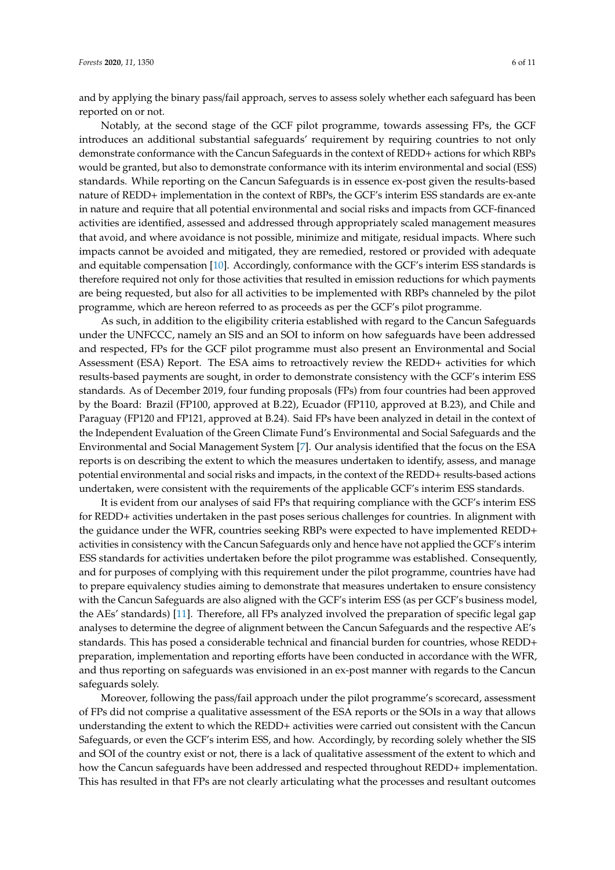and by applying the binary pass/fail approach, serves to assess solely whether each safeguard has been reported on or not.

Notably, at the second stage of the GCF pilot programme, towards assessing FPs, the GCF introduces an additional substantial safeguards' requirement by requiring countries to not only demonstrate conformance with the Cancun Safeguards in the context of REDD+ actions for which RBPs would be granted, but also to demonstrate conformance with its interim environmental and social (ESS) standards. While reporting on the Cancun Safeguards is in essence ex-post given the results-based nature of REDD+ implementation in the context of RBPs, the GCF's interim ESS standards are ex-ante in nature and require that all potential environmental and social risks and impacts from GCF-financed activities are identified, assessed and addressed through appropriately scaled management measures that avoid, and where avoidance is not possible, minimize and mitigate, residual impacts. Where such impacts cannot be avoided and mitigated, they are remedied, restored or provided with adequate and equitable compensation [\[10\]](#page-10-1). Accordingly, conformance with the GCF's interim ESS standards is therefore required not only for those activities that resulted in emission reductions for which payments are being requested, but also for all activities to be implemented with RBPs channeled by the pilot programme, which are hereon referred to as proceeds as per the GCF's pilot programme.

As such, in addition to the eligibility criteria established with regard to the Cancun Safeguards under the UNFCCC, namely an SIS and an SOI to inform on how safeguards have been addressed and respected, FPs for the GCF pilot programme must also present an Environmental and Social Assessment (ESA) Report. The ESA aims to retroactively review the REDD+ activities for which results-based payments are sought, in order to demonstrate consistency with the GCF's interim ESS standards. As of December 2019, four funding proposals (FPs) from four countries had been approved by the Board: Brazil (FP100, approved at B.22), Ecuador (FP110, approved at B.23), and Chile and Paraguay (FP120 and FP121, approved at B.24). Said FPs have been analyzed in detail in the context of the Independent Evaluation of the Green Climate Fund's Environmental and Social Safeguards and the Environmental and Social Management System [\[7\]](#page-9-6). Our analysis identified that the focus on the ESA reports is on describing the extent to which the measures undertaken to identify, assess, and manage potential environmental and social risks and impacts, in the context of the REDD+ results-based actions undertaken, were consistent with the requirements of the applicable GCF's interim ESS standards.

It is evident from our analyses of said FPs that requiring compliance with the GCF's interim ESS for REDD+ activities undertaken in the past poses serious challenges for countries. In alignment with the guidance under the WFR, countries seeking RBPs were expected to have implemented REDD+ activities in consistency with the Cancun Safeguards only and hence have not applied the GCF's interim ESS standards for activities undertaken before the pilot programme was established. Consequently, and for purposes of complying with this requirement under the pilot programme, countries have had to prepare equivalency studies aiming to demonstrate that measures undertaken to ensure consistency with the Cancun Safeguards are also aligned with the GCF's interim ESS (as per GCF's business model, the AEs' standards) [\[11\]](#page-10-2). Therefore, all FPs analyzed involved the preparation of specific legal gap analyses to determine the degree of alignment between the Cancun Safeguards and the respective AE's standards. This has posed a considerable technical and financial burden for countries, whose REDD+ preparation, implementation and reporting efforts have been conducted in accordance with the WFR, and thus reporting on safeguards was envisioned in an ex-post manner with regards to the Cancun safeguards solely.

Moreover, following the pass/fail approach under the pilot programme's scorecard, assessment of FPs did not comprise a qualitative assessment of the ESA reports or the SOIs in a way that allows understanding the extent to which the REDD+ activities were carried out consistent with the Cancun Safeguards, or even the GCF's interim ESS, and how. Accordingly, by recording solely whether the SIS and SOI of the country exist or not, there is a lack of qualitative assessment of the extent to which and how the Cancun safeguards have been addressed and respected throughout REDD+ implementation. This has resulted in that FPs are not clearly articulating what the processes and resultant outcomes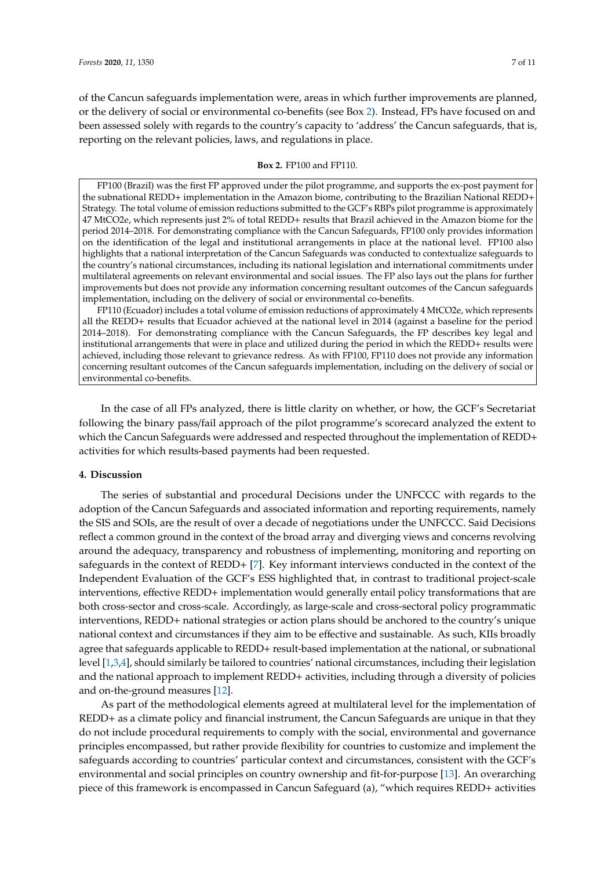of the Cancun safeguards implementation were, areas in which further improvements are planned, or the delivery of social or environmental co-benefits (see Box [2\)](#page-6-0). Instead, FPs have focused on and been assessed solely with regards to the country's capacity to 'address' the Cancun safeguards, that is, reporting on the relevant policies, laws, and regulations in place.

## **Box 2.** FP100 and FP110.

<span id="page-6-0"></span>FP100 (Brazil) was the first FP approved under the pilot programme, and supports the ex-post payment for the subnational REDD+ implementation in the Amazon biome, contributing to the Brazilian National REDD+ Strategy. The total volume of emission reductions submitted to the GCF's RBPs pilot programme is approximately 47 MtCO2e, which represents just 2% of total REDD+ results that Brazil achieved in the Amazon biome for the period 2014–2018. For demonstrating compliance with the Cancun Safeguards, FP100 only provides information on the identification of the legal and institutional arrangements in place at the national level. FP100 also highlights that a national interpretation of the Cancun Safeguards was conducted to contextualize safeguards to the country's national circumstances, including its national legislation and international commitments under multilateral agreements on relevant environmental and social issues. The FP also lays out the plans for further improvements but does not provide any information concerning resultant outcomes of the Cancun safeguards implementation, including on the delivery of social or environmental co-benefits.

FP110 (Ecuador) includes a total volume of emission reductions of approximately 4 MtCO2e, which represents all the REDD+ results that Ecuador achieved at the national level in 2014 (against a baseline for the period 2014–2018). For demonstrating compliance with the Cancun Safeguards, the FP describes key legal and institutional arrangements that were in place and utilized during the period in which the REDD+ results were achieved, including those relevant to grievance redress. As with FP100, FP110 does not provide any information concerning resultant outcomes of the Cancun safeguards implementation, including on the delivery of social or environmental co-benefits.

In the case of all FPs analyzed, there is little clarity on whether, or how, the GCF's Secretariat following the binary pass/fail approach of the pilot programme's scorecard analyzed the extent to which the Cancun Safeguards were addressed and respected throughout the implementation of REDD+ activities for which results-based payments had been requested.

## **4. Discussion**

The series of substantial and procedural Decisions under the UNFCCC with regards to the adoption of the Cancun Safeguards and associated information and reporting requirements, namely the SIS and SOIs, are the result of over a decade of negotiations under the UNFCCC. Said Decisions reflect a common ground in the context of the broad array and diverging views and concerns revolving around the adequacy, transparency and robustness of implementing, monitoring and reporting on safeguards in the context of REDD+ [\[7\]](#page-9-6). Key informant interviews conducted in the context of the Independent Evaluation of the GCF's ESS highlighted that, in contrast to traditional project-scale interventions, effective REDD+ implementation would generally entail policy transformations that are both cross-sector and cross-scale. Accordingly, as large-scale and cross-sectoral policy programmatic interventions, REDD+ national strategies or action plans should be anchored to the country's unique national context and circumstances if they aim to be effective and sustainable. As such, KIIs broadly agree that safeguards applicable to REDD+ result-based implementation at the national, or subnational level [\[1](#page-9-0)[,3](#page-9-2)[,4\]](#page-9-3), should similarly be tailored to countries' national circumstances, including their legislation and the national approach to implement REDD+ activities, including through a diversity of policies and on-the-ground measures [\[12\]](#page-10-3).

As part of the methodological elements agreed at multilateral level for the implementation of REDD+ as a climate policy and financial instrument, the Cancun Safeguards are unique in that they do not include procedural requirements to comply with the social, environmental and governance principles encompassed, but rather provide flexibility for countries to customize and implement the safeguards according to countries' particular context and circumstances, consistent with the GCF's environmental and social principles on country ownership and fit-for-purpose [\[13\]](#page-10-4). An overarching piece of this framework is encompassed in Cancun Safeguard (a), "which requires REDD+ activities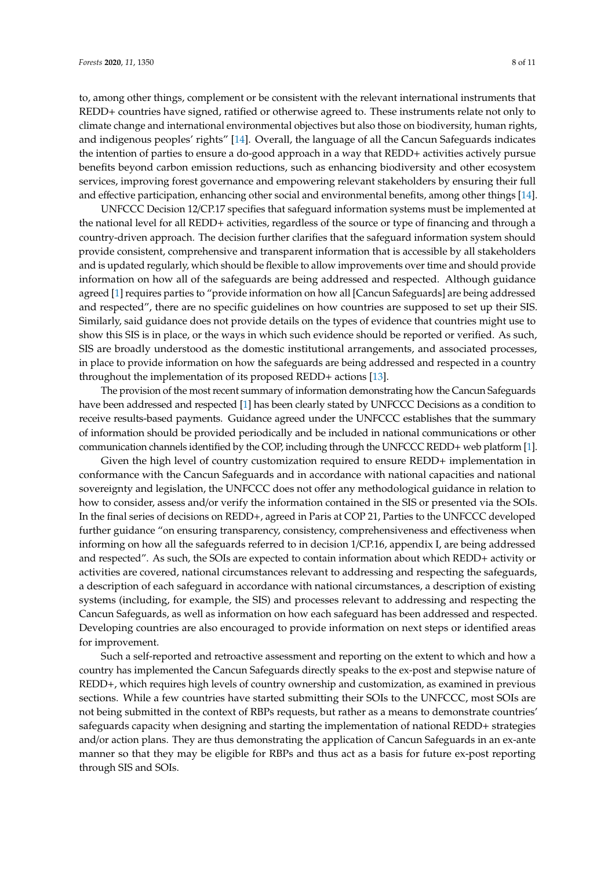to, among other things, complement or be consistent with the relevant international instruments that REDD+ countries have signed, ratified or otherwise agreed to. These instruments relate not only to climate change and international environmental objectives but also those on biodiversity, human rights, and indigenous peoples' rights" [\[14\]](#page-10-5). Overall, the language of all the Cancun Safeguards indicates the intention of parties to ensure a do-good approach in a way that REDD+ activities actively pursue benefits beyond carbon emission reductions, such as enhancing biodiversity and other ecosystem services, improving forest governance and empowering relevant stakeholders by ensuring their full and effective participation, enhancing other social and environmental benefits, among other things [\[14\]](#page-10-5).

UNFCCC Decision 12/CP.17 specifies that safeguard information systems must be implemented at the national level for all REDD+ activities, regardless of the source or type of financing and through a country-driven approach. The decision further clarifies that the safeguard information system should provide consistent, comprehensive and transparent information that is accessible by all stakeholders and is updated regularly, which should be flexible to allow improvements over time and should provide information on how all of the safeguards are being addressed and respected. Although guidance agreed [\[1\]](#page-9-0) requires parties to "provide information on how all [Cancun Safeguards] are being addressed and respected", there are no specific guidelines on how countries are supposed to set up their SIS. Similarly, said guidance does not provide details on the types of evidence that countries might use to show this SIS is in place, or the ways in which such evidence should be reported or verified. As such, SIS are broadly understood as the domestic institutional arrangements, and associated processes, in place to provide information on how the safeguards are being addressed and respected in a country throughout the implementation of its proposed REDD+ actions [\[13\]](#page-10-4).

The provision of the most recent summary of information demonstrating how the Cancun Safeguards have been addressed and respected [\[1\]](#page-9-0) has been clearly stated by UNFCCC Decisions as a condition to receive results-based payments. Guidance agreed under the UNFCCC establishes that the summary of information should be provided periodically and be included in national communications or other communication channels identified by the COP, including through the UNFCCC REDD+ web platform [\[1\]](#page-9-0).

Given the high level of country customization required to ensure REDD+ implementation in conformance with the Cancun Safeguards and in accordance with national capacities and national sovereignty and legislation, the UNFCCC does not offer any methodological guidance in relation to how to consider, assess and/or verify the information contained in the SIS or presented via the SOIs. In the final series of decisions on REDD+, agreed in Paris at COP 21, Parties to the UNFCCC developed further guidance "on ensuring transparency, consistency, comprehensiveness and effectiveness when informing on how all the safeguards referred to in decision 1/CP.16, appendix I, are being addressed and respected". As such, the SOIs are expected to contain information about which REDD+ activity or activities are covered, national circumstances relevant to addressing and respecting the safeguards, a description of each safeguard in accordance with national circumstances, a description of existing systems (including, for example, the SIS) and processes relevant to addressing and respecting the Cancun Safeguards, as well as information on how each safeguard has been addressed and respected. Developing countries are also encouraged to provide information on next steps or identified areas for improvement.

Such a self-reported and retroactive assessment and reporting on the extent to which and how a country has implemented the Cancun Safeguards directly speaks to the ex-post and stepwise nature of REDD+, which requires high levels of country ownership and customization, as examined in previous sections. While a few countries have started submitting their SOIs to the UNFCCC, most SOIs are not being submitted in the context of RBPs requests, but rather as a means to demonstrate countries' safeguards capacity when designing and starting the implementation of national REDD+ strategies and/or action plans. They are thus demonstrating the application of Cancun Safeguards in an ex-ante manner so that they may be eligible for RBPs and thus act as a basis for future ex-post reporting through SIS and SOIs.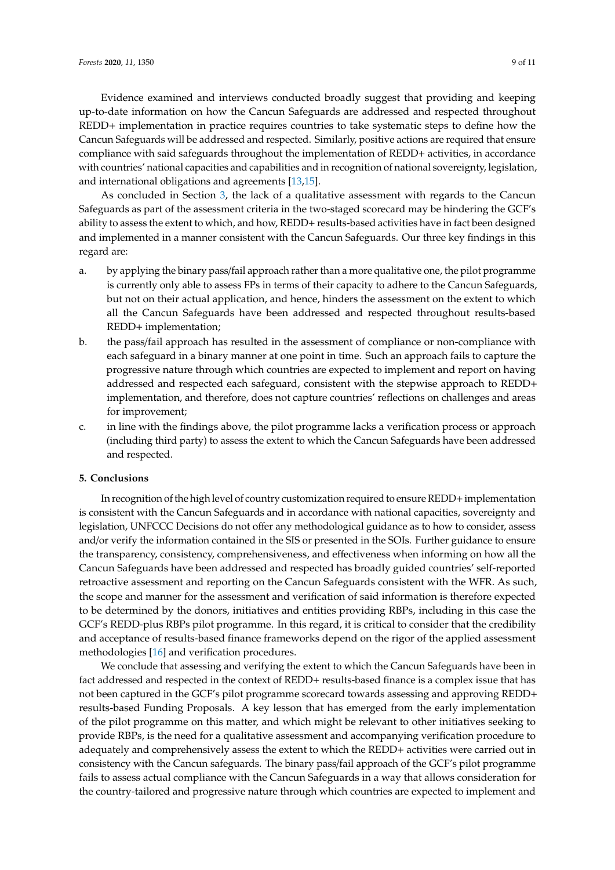Evidence examined and interviews conducted broadly suggest that providing and keeping up-to-date information on how the Cancun Safeguards are addressed and respected throughout REDD+ implementation in practice requires countries to take systematic steps to define how the Cancun Safeguards will be addressed and respected. Similarly, positive actions are required that ensure compliance with said safeguards throughout the implementation of REDD+ activities, in accordance with countries' national capacities and capabilities and in recognition of national sovereignty, legislation, and international obligations and agreements [\[13,](#page-10-4)[15\]](#page-10-6).

As concluded in Section [3,](#page-3-0) the lack of a qualitative assessment with regards to the Cancun Safeguards as part of the assessment criteria in the two-staged scorecard may be hindering the GCF's ability to assess the extent to which, and how, REDD+ results-based activities have in fact been designed and implemented in a manner consistent with the Cancun Safeguards. Our three key findings in this regard are:

- a. by applying the binary pass/fail approach rather than a more qualitative one, the pilot programme is currently only able to assess FPs in terms of their capacity to adhere to the Cancun Safeguards, but not on their actual application, and hence, hinders the assessment on the extent to which all the Cancun Safeguards have been addressed and respected throughout results-based REDD+ implementation;
- b. the pass/fail approach has resulted in the assessment of compliance or non-compliance with each safeguard in a binary manner at one point in time. Such an approach fails to capture the progressive nature through which countries are expected to implement and report on having addressed and respected each safeguard, consistent with the stepwise approach to REDD+ implementation, and therefore, does not capture countries' reflections on challenges and areas for improvement;
- c. in line with the findings above, the pilot programme lacks a verification process or approach (including third party) to assess the extent to which the Cancun Safeguards have been addressed and respected.

### **5. Conclusions**

In recognition of the high level of country customization required to ensure REDD+ implementation is consistent with the Cancun Safeguards and in accordance with national capacities, sovereignty and legislation, UNFCCC Decisions do not offer any methodological guidance as to how to consider, assess and/or verify the information contained in the SIS or presented in the SOIs. Further guidance to ensure the transparency, consistency, comprehensiveness, and effectiveness when informing on how all the Cancun Safeguards have been addressed and respected has broadly guided countries' self-reported retroactive assessment and reporting on the Cancun Safeguards consistent with the WFR. As such, the scope and manner for the assessment and verification of said information is therefore expected to be determined by the donors, initiatives and entities providing RBPs, including in this case the GCF's REDD-plus RBPs pilot programme. In this regard, it is critical to consider that the credibility and acceptance of results-based finance frameworks depend on the rigor of the applied assessment methodologies [\[16\]](#page-10-7) and verification procedures.

We conclude that assessing and verifying the extent to which the Cancun Safeguards have been in fact addressed and respected in the context of REDD+ results-based finance is a complex issue that has not been captured in the GCF's pilot programme scorecard towards assessing and approving REDD+ results-based Funding Proposals. A key lesson that has emerged from the early implementation of the pilot programme on this matter, and which might be relevant to other initiatives seeking to provide RBPs, is the need for a qualitative assessment and accompanying verification procedure to adequately and comprehensively assess the extent to which the REDD+ activities were carried out in consistency with the Cancun safeguards. The binary pass/fail approach of the GCF's pilot programme fails to assess actual compliance with the Cancun Safeguards in a way that allows consideration for the country-tailored and progressive nature through which countries are expected to implement and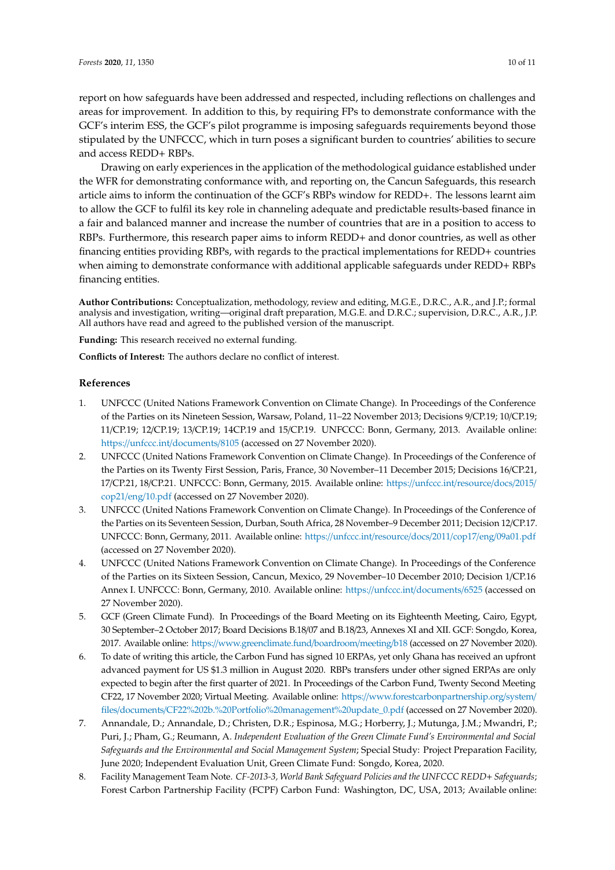report on how safeguards have been addressed and respected, including reflections on challenges and areas for improvement. In addition to this, by requiring FPs to demonstrate conformance with the GCF's interim ESS, the GCF's pilot programme is imposing safeguards requirements beyond those stipulated by the UNFCCC, which in turn poses a significant burden to countries' abilities to secure and access REDD+ RBPs.

Drawing on early experiences in the application of the methodological guidance established under the WFR for demonstrating conformance with, and reporting on, the Cancun Safeguards, this research article aims to inform the continuation of the GCF's RBPs window for REDD+. The lessons learnt aim to allow the GCF to fulfil its key role in channeling adequate and predictable results-based finance in a fair and balanced manner and increase the number of countries that are in a position to access to RBPs. Furthermore, this research paper aims to inform REDD+ and donor countries, as well as other financing entities providing RBPs, with regards to the practical implementations for REDD+ countries when aiming to demonstrate conformance with additional applicable safeguards under REDD+ RBPs financing entities.

**Author Contributions:** Conceptualization, methodology, review and editing, M.G.E., D.R.C., A.R., and J.P.; formal analysis and investigation, writing—original draft preparation, M.G.E. and D.R.C.; supervision, D.R.C., A.R., J.P. All authors have read and agreed to the published version of the manuscript.

**Funding:** This research received no external funding.

**Conflicts of Interest:** The authors declare no conflict of interest.

## **References**

- <span id="page-9-0"></span>1. UNFCCC (United Nations Framework Convention on Climate Change). In Proceedings of the Conference of the Parties on its Nineteen Session, Warsaw, Poland, 11–22 November 2013; Decisions 9/CP.19; 10/CP.19; 11/CP.19; 12/CP.19; 13/CP.19; 14CP.19 and 15/CP.19. UNFCCC: Bonn, Germany, 2013. Available online: https://unfccc.int/[documents](https://unfccc.int/documents/8105)/8105 (accessed on 27 November 2020).
- <span id="page-9-1"></span>2. UNFCCC (United Nations Framework Convention on Climate Change). In Proceedings of the Conference of the Parties on its Twenty First Session, Paris, France, 30 November–11 December 2015; Decisions 16/CP.21, 17/CP.21, 18/CP.21. UNFCCC: Bonn, Germany, 2015. Available online: https://[unfccc.int](https://unfccc.int/resource/docs/2015/cop21/eng/10.pdf)/resource/docs/2015/ cop21/eng/[10.pdf](https://unfccc.int/resource/docs/2015/cop21/eng/10.pdf) (accessed on 27 November 2020).
- <span id="page-9-2"></span>3. UNFCCC (United Nations Framework Convention on Climate Change). In Proceedings of the Conference of the Parties on its Seventeen Session, Durban, South Africa, 28 November–9 December 2011; Decision 12/CP.17. UNFCCC: Bonn, Germany, 2011. Available online: https://[unfccc.int](https://unfccc.int/resource/docs/2011/cop17/eng/09a01.pdf)/resource/docs/2011/cop17/eng/09a01.pdf (accessed on 27 November 2020).
- <span id="page-9-3"></span>4. UNFCCC (United Nations Framework Convention on Climate Change). In Proceedings of the Conference of the Parties on its Sixteen Session, Cancun, Mexico, 29 November–10 December 2010; Decision 1/CP.16 Annex I. UNFCCC: Bonn, Germany, 2010. Available online: https://unfccc.int/[documents](https://unfccc.int/documents/6525)/6525 (accessed on 27 November 2020).
- <span id="page-9-4"></span>5. GCF (Green Climate Fund). In Proceedings of the Board Meeting on its Eighteenth Meeting, Cairo, Egypt, 30 September–2 October 2017; Board Decisions B.18/07 and B.18/23, Annexes XI and XII. GCF: Songdo, Korea, 2017. Available online: https://[www.greenclimate.fund](https://www.greenclimate.fund/boardroom/meeting/b18)/boardroom/meeting/b18 (accessed on 27 November 2020).
- <span id="page-9-5"></span>6. To date of writing this article, the Carbon Fund has signed 10 ERPAs, yet only Ghana has received an upfront advanced payment for US \$1.3 million in August 2020. RBPs transfers under other signed ERPAs are only expected to begin after the first quarter of 2021. In Proceedings of the Carbon Fund, Twenty Second Meeting CF22, 17 November 2020; Virtual Meeting. Available online: https://[www.forestcarbonpartnership.org](https://www.forestcarbonpartnership.org/system/files/documents/CF22%202b.%20Portfolio%20management%20update_0.pdf)/system/ files/documents/[CF22%202b.%20Portfolio%20management%20update\\_0.pdf](https://www.forestcarbonpartnership.org/system/files/documents/CF22%202b.%20Portfolio%20management%20update_0.pdf) (accessed on 27 November 2020).
- <span id="page-9-6"></span>7. Annandale, D.; Annandale, D.; Christen, D.R.; Espinosa, M.G.; Horberry, J.; Mutunga, J.M.; Mwandri, P.; Puri, J.; Pham, G.; Reumann, A. *Independent Evaluation of the Green Climate Fund's Environmental and Social Safeguards and the Environmental and Social Management System*; Special Study: Project Preparation Facility, June 2020; Independent Evaluation Unit, Green Climate Fund: Songdo, Korea, 2020.
- <span id="page-9-7"></span>8. Facility Management Team Note. *CF-2013-3, World Bank Safeguard Policies and the UNFCCC REDD*+ *Safeguards*; Forest Carbon Partnership Facility (FCPF) Carbon Fund: Washington, DC, USA, 2013; Available online: